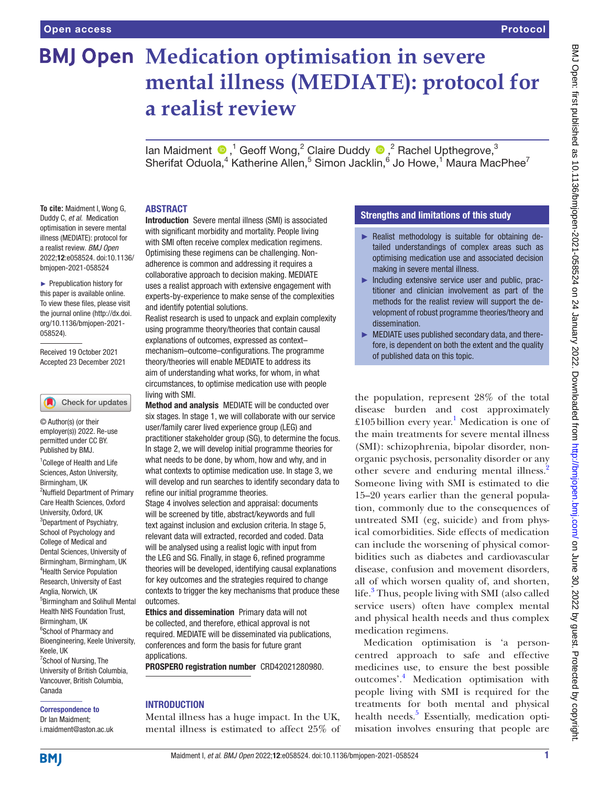# **BMJ Open Medication optimisation in severe mental illness (MEDIATE): protocol for a realist review**

lanMaidment  $\bigcirc$ ,<sup>1</sup> Geoff Wong,<sup>2</sup> Claire Duddy  $\bigcirc$ ,<sup>2</sup> Rachel Upthegrove,<sup>3</sup> Sherifat Oduola,<sup>4</sup> Katherine Allen,<sup>5</sup> Simon Jacklin,<sup>6</sup> Jo Howe,<sup>1</sup> Maura MacPhee<sup>7</sup>

# ABSTRACT

**To cite:** Maidment I, Wong G, Duddy C, *et al*. Medication optimisation in severe mental illness (MEDIATE): protocol for a realist review. *BMJ Open* 2022;12:e058524. doi:10.1136/ bmjopen-2021-058524

► Prepublication history for this paper is available online. To view these files, please visit the journal online [\(http://dx.doi.](http://dx.doi.org/10.1136/bmjopen-2021-058524) [org/10.1136/bmjopen-2021-](http://dx.doi.org/10.1136/bmjopen-2021-058524) [058524\)](http://dx.doi.org/10.1136/bmjopen-2021-058524).

Received 19 October 2021 Accepted 23 December 2021

#### (Check for updates

© Author(s) (or their employer(s)) 2022. Re-use permitted under CC BY. Published by BMJ.

<sup>1</sup> College of Health and Life Sciences, Aston University, Birmingham, UK 2 Nuffield Department of Primary Care Health Sciences, Oxford University, Oxford, UK <sup>3</sup>Department of Psychiatry, School of Psychology and College of Medical and Dental Sciences, University of Birmingham, Birmingham, UK 4 Health Service Population Research, University of East Anglia, Norwich, UK 5 Birmingham and Solihull Mental Health NHS Foundation Trust, Birmingham, UK <sup>6</sup>School of Pharmacy and Bioengineering, Keele University, Keele, UK <sup>7</sup>School of Nursing, The University of British Columbia, Vancouver, British Columbia, Canada

#### Correspondence to Dr Ian Maidment;

i.maidment@aston.ac.uk

Introduction Severe mental illness (SMI) is associated with significant morbidity and mortality. People living with SMI often receive complex medication regimens. Optimising these regimens can be challenging. Nonadherence is common and addressing it requires a collaborative approach to decision making. MEDIATE uses a realist approach with extensive engagement with experts-by-experience to make sense of the complexities and identify potential solutions.

Realist research is used to unpack and explain complexity using programme theory/theories that contain causal explanations of outcomes, expressed as context– mechanism–outcome–configurations. The programme theory/theories will enable MEDIATE to address its aim of understanding what works, for whom, in what circumstances, to optimise medication use with people living with SMI.

Method and analysis MEDIATE will be conducted over six stages. In stage 1, we will collaborate with our service user/family carer lived experience group (LEG) and practitioner stakeholder group (SG), to determine the focus. In stage 2, we will develop initial programme theories for what needs to be done, by whom, how and why, and in what contexts to optimise medication use. In stage 3, we will develop and run searches to identify secondary data to refine our initial programme theories.

Stage 4 involves selection and appraisal: documents will be screened by title, abstract/keywords and full text against inclusion and exclusion criteria. In stage 5, relevant data will extracted, recorded and coded. Data will be analysed using a realist logic with input from the LEG and SG. Finally, in stage 6, refined programme theories will be developed, identifying causal explanations for key outcomes and the strategies required to change contexts to trigger the key mechanisms that produce these outcomes.

Ethics and dissemination Primary data will not be collected, and therefore, ethical approval is not required. MEDIATE will be disseminated via publications, conferences and form the basis for future grant applications.

PROSPERO registration number CRD42021280980.

# INTRODUCTION

Mental illness has a huge impact. In the UK, mental illness is estimated to affect 25% of

# Strengths and limitations of this study

- ► Realist methodology is suitable for obtaining detailed understandings of complex areas such as optimising medication use and associated decision making in severe mental illness.
- ► Including extensive service user and public, practitioner and clinician involvement as part of the methods for the realist review will support the development of robust programme theories/theory and dissemination.
- ► MEDIATE uses published secondary data, and therefore, is dependent on both the extent and the quality of published data on this topic.

the population, represent 28% of the total disease burden and cost approximately £105billion every year. [1](#page-4-0) Medication is one of the main treatments for severe mental illness (SMI): schizophrenia, bipolar disorder, nonorganic psychosis, personality disorder or any other severe and enduring mental illness.<sup>2</sup> Someone living with SMI is estimated to die 15–20 years earlier than the general population, commonly due to the consequences of untreated SMI (eg, suicide) and from physical comorbidities. Side effects of medication can include the worsening of physical comorbidities such as diabetes and cardiovascular disease, confusion and movement disorders, all of which worsen quality of, and shorten, life.<sup>[3](#page-4-2)</sup> Thus, people living with SMI (also called service users) often have complex mental and physical health needs and thus complex medication regimens.

Medication optimisation is 'a personcentred approach to safe and effective medicines use, to ensure the best possible outcomes'.[4](#page-4-3) Medication optimisation with people living with SMI is required for the treatments for both mental and physical health needs.<sup>[5](#page-4-4)</sup> Essentially, medication optimisation involves ensuring that people are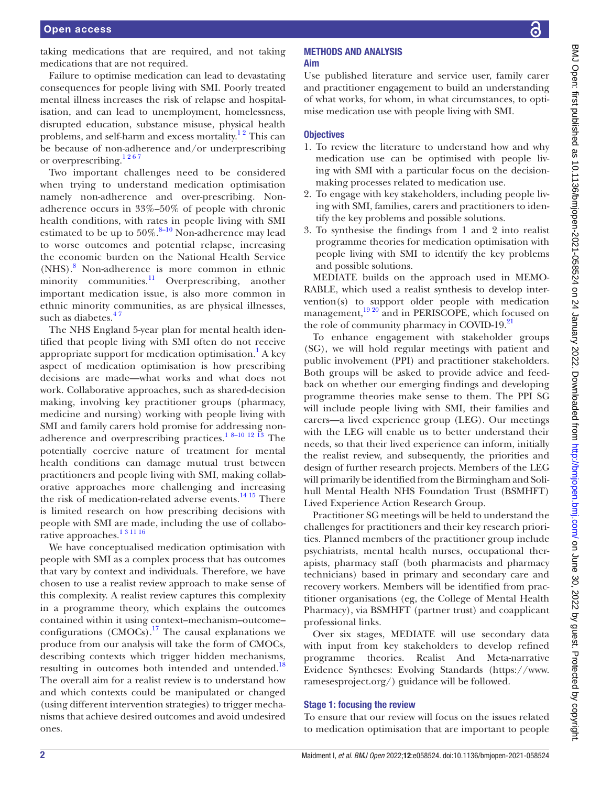taking medications that are required, and not taking medications that are not required.

Failure to optimise medication can lead to devastating consequences for people living with SMI. Poorly treated mental illness increases the risk of relapse and hospitalisation, and can lead to unemployment, homelessness, disrupted education, substance misuse, physical health problems, and self-harm and excess mortality.<sup>12</sup> This can be because of non-adherence and/or underprescribing or overprescribing.<sup>1267</sup>

Two important challenges need to be considered when trying to understand medication optimisation namely non-adherence and over-prescribing. Nonadherence occurs in 33%–50% of people with chronic health conditions, with rates in people living with SMI estimated to be up to  $50\%$ .<sup>[8–10](#page-4-5)</sup> Non-adherence may lead to worse outcomes and potential relapse, increasing the economic burden on the National Health Service (NHS).[8](#page-4-5) Non-adherence is more common in ethnic minority communities.<sup>11</sup> Overprescribing, another important medication issue, is also more common in ethnic minority communities, as are physical illnesses, such as diabetes.<sup>47</sup>

The NHS England 5-year plan for mental health identified that people living with SMI often do not receive appropriate support for medication optimisation.<sup>[1](#page-4-0)</sup> A key aspect of medication optimisation is how prescribing decisions are made—what works and what does not work. Collaborative approaches, such as shared-decision making, involving key practitioner groups (pharmacy, medicine and nursing) working with people living with SMI and family carers hold promise for addressing non-adherence and overprescribing practices.<sup>[1 8–10 12 13](#page-4-0)</sup> The potentially coercive nature of treatment for mental health conditions can damage mutual trust between practitioners and people living with SMI, making collaborative approaches more challenging and increasing the risk of medication-related adverse events. $^{14}$  15 There is limited research on how prescribing decisions with people with SMI are made, including the use of collaborative approaches.<sup>13 11 16</sup>

We have conceptualised medication optimisation with people with SMI as a complex process that has outcomes that vary by context and individuals. Therefore, we have chosen to use a realist review approach to make sense of this complexity. A realist review captures this complexity in a programme theory, which explains the outcomes contained within it using context–mechanism–outcome– configurations  $(CMOCs)$ .<sup>[17](#page-4-8)</sup> The causal explanations we produce from our analysis will take the form of CMOCs, describing contexts which trigger hidden mechanisms, resulting in outcomes both intended and untended.<sup>18</sup> The overall aim for a realist review is to understand how and which contexts could be manipulated or changed (using different intervention strategies) to trigger mechanisms that achieve desired outcomes and avoid undesired ones.

### METHODS AND ANALYSIS Aim

Use published literature and service user, family carer and practitioner engagement to build an understanding of what works, for whom, in what circumstances, to optimise medication use with people living with SMI.

# **Objectives**

- 1. To review the literature to understand how and why medication use can be optimised with people living with SMI with a particular focus on the decisionmaking processes related to medication use.
- 2. To engage with key stakeholders, including people living with SMI, families, carers and practitioners to identify the key problems and possible solutions.
- 3. To synthesise the findings from 1 and 2 into realist programme theories for medication optimisation with people living with SMI to identify the key problems and possible solutions.

MEDIATE builds on the approach used in MEMO-RABLE, which used a realist synthesis to develop intervention(s) to support older people with medication management, $19\frac{20}{3}$  and in PERISCOPE, which focused on the role of community pharmacy in COVID-19.<sup>[21](#page-4-11)</sup>

To enhance engagement with stakeholder groups (SG), we will hold regular meetings with patient and public involvement (PPI) and practitioner stakeholders. Both groups will be asked to provide advice and feedback on whether our emerging findings and developing programme theories make sense to them. The PPI SG will include people living with SMI, their families and carers—a lived experience group (LEG). Our meetings with the LEG will enable us to better understand their needs, so that their lived experience can inform, initially the realist review, and subsequently, the priorities and design of further research projects. Members of the LEG will primarily be identified from the Birmingham and Solihull Mental Health NHS Foundation Trust (BSMHFT) Lived Experience Action Research Group.

Practitioner SG meetings will be held to understand the challenges for practitioners and their key research priorities. Planned members of the practitioner group include psychiatrists, mental health nurses, occupational therapists, pharmacy staff (both pharmacists and pharmacy technicians) based in primary and secondary care and recovery workers. Members will be identified from practitioner organisations (eg, the College of Mental Health Pharmacy), via BSMHFT (partner trust) and coapplicant professional links.

Over six stages, MEDIATE will use secondary data with input from key stakeholders to develop refined programme theories. Realist And Meta-narrative Evidence Syntheses: Evolving Standards ([https://www.](https://www.ramesesproject.org/) [ramesesproject.org/](https://www.ramesesproject.org/)) guidance will be followed.

# Stage 1: focusing the review

To ensure that our review will focus on the issues related to medication optimisation that are important to people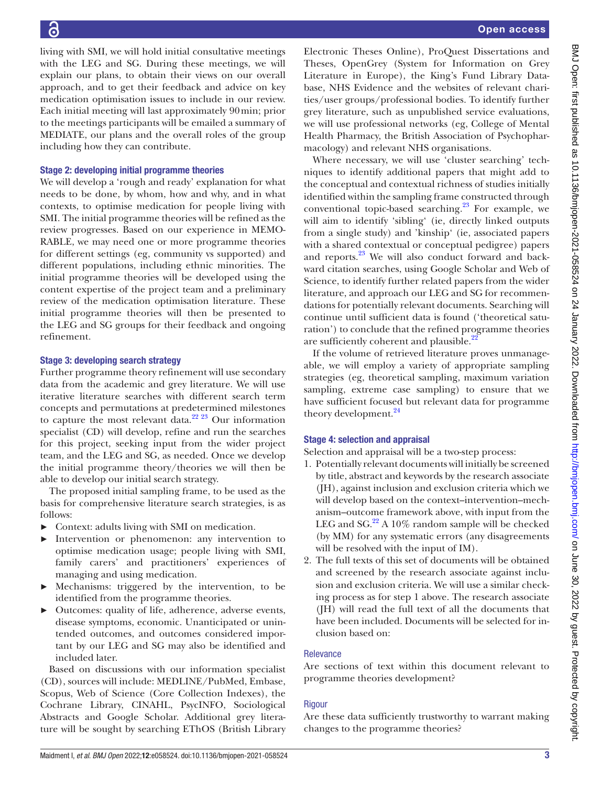living with SMI, we will hold initial consultative meetings with the LEG and SG. During these meetings, we will explain our plans, to obtain their views on our overall approach, and to get their feedback and advice on key medication optimisation issues to include in our review. Each initial meeting will last approximately 90min; prior to the meetings participants will be emailed a summary of MEDIATE, our plans and the overall roles of the group including how they can contribute.

# Stage 2: developing initial programme theories

We will develop a 'rough and ready' explanation for what needs to be done, by whom, how and why, and in what contexts, to optimise medication for people living with SMI. The initial programme theories will be refined as the review progresses. Based on our experience in MEMO-RABLE, we may need one or more programme theories for different settings (eg, community vs supported) and different populations, including ethnic minorities. The initial programme theories will be developed using the content expertise of the project team and a preliminary review of the medication optimisation literature. These initial programme theories will then be presented to the LEG and SG groups for their feedback and ongoing refinement.

# Stage 3: developing search strategy

Further programme theory refinement will use secondary data from the academic and grey literature. We will use iterative literature searches with different search term concepts and permutations at predetermined milestones to capture the most relevant data. $22^{22}$  Our information specialist (CD) will develop, refine and run the searches for this project, seeking input from the wider project team, and the LEG and SG, as needed. Once we develop the initial programme theory/theories we will then be able to develop our initial search strategy.

The proposed initial sampling frame, to be used as the basis for comprehensive literature search strategies, is as follows:

- ► Context: adults living with SMI on medication.
- Intervention or phenomenon: any intervention to optimise medication usage; people living with SMI, family carers' and practitioners' experiences of managing and using medication.
- Mechanisms: triggered by the intervention, to be identified from the programme theories.
- ► Outcomes: quality of life, adherence, adverse events, disease symptoms, economic. Unanticipated or unintended outcomes, and outcomes considered important by our LEG and SG may also be identified and included later.

Based on discussions with our information specialist (CD), sources will include: MEDLINE/PubMed, Embase, Scopus, Web of Science (Core Collection Indexes), the Cochrane Library, CINAHL, PsycINFO, Sociological Abstracts and Google Scholar. Additional grey literature will be sought by searching EThOS (British Library

Electronic Theses Online), ProQuest Dissertations and Theses, OpenGrey (System for Information on Grey Literature in Europe), the King's Fund Library Database, NHS Evidence and the websites of relevant charities/user groups/professional bodies. To identify further grey literature, such as unpublished service evaluations, we will use professional networks (eg, College of Mental Health Pharmacy, the British Association of Psychopharmacology) and relevant NHS organisations.

Where necessary, we will use 'cluster searching' techniques to identify additional papers that might add to the conceptual and contextual richness of studies initially identified within the sampling frame constructed through conventional topic-based searching.<sup>23</sup> For example, we will aim to identify 'sibling' (ie, directly linked outputs from a single study) and 'kinship' (ie, associated papers with a shared contextual or conceptual pedigree) papers and reports.<sup>23</sup> We will also conduct forward and backward citation searches, using Google Scholar and Web of Science, to identify further related papers from the wider literature, and approach our LEG and SG for recommendations for potentially relevant documents. Searching will continue until sufficient data is found ('theoretical saturation') to conclude that the refined programme theories are sufficiently coherent and plausible. $^{22}$  $^{22}$  $^{22}$ 

If the volume of retrieved literature proves unmanageable, we will employ a variety of appropriate sampling strategies (eg, theoretical sampling, maximum variation sampling, extreme case sampling) to ensure that we have sufficient focused but relevant data for programme theory development.<sup>24</sup>

# Stage 4: selection and appraisal

Selection and appraisal will be a two-step process:

- 1. Potentially relevant documents will initially be screened by title, abstract and keywords by the research associate (JH), against inclusion and exclusion criteria which we will develop based on the context–intervention–mechanism–outcome framework above, with input from the LEG and SG. $^{22}$  A 10% random sample will be checked (by MM) for any systematic errors (any disagreements will be resolved with the input of IM).
- 2. The full texts of this set of documents will be obtained and screened by the research associate against inclusion and exclusion criteria. We will use a similar checking process as for step 1 above. The research associate (JH) will read the full text of all the documents that have been included. Documents will be selected for inclusion based on:

# Relevance

Are sections of text within this document relevant to programme theories development?

# **Rigour**

Are these data sufficiently trustworthy to warrant making changes to the programme theories?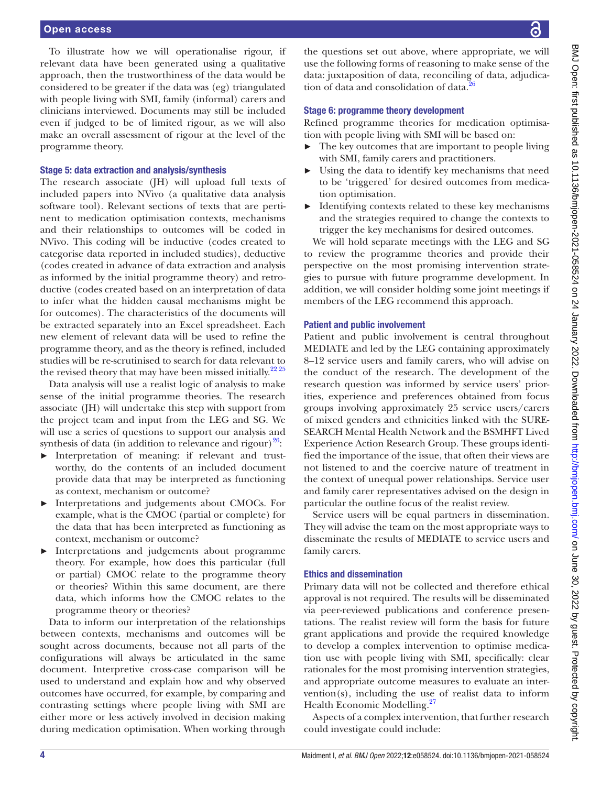To illustrate how we will operationalise rigour, if relevant data have been generated using a qualitative approach, then the trustworthiness of the data would be considered to be greater if the data was (eg) triangulated with people living with SMI, family (informal) carers and clinicians interviewed. Documents may still be included even if judged to be of limited rigour, as we will also make an overall assessment of rigour at the level of the programme theory.

#### Stage 5: data extraction and analysis/synthesis

The research associate (JH) will upload full texts of included papers into NVivo (a qualitative data analysis software tool). Relevant sections of texts that are pertinent to medication optimisation contexts, mechanisms and their relationships to outcomes will be coded in NVivo. This coding will be inductive (codes created to categorise data reported in included studies), deductive (codes created in advance of data extraction and analysis as informed by the initial programme theory) and retroductive (codes created based on an interpretation of data to infer what the hidden causal mechanisms might be for outcomes). The characteristics of the documents will be extracted separately into an Excel spreadsheet. Each new element of relevant data will be used to refine the programme theory, and as the theory is refined, included studies will be re-scrutinised to search for data relevant to the revised theory that may have been missed initially.<sup>[22 25](#page-4-12)</sup>

Data analysis will use a realist logic of analysis to make sense of the initial programme theories. The research associate (JH) will undertake this step with support from the project team and input from the LEG and SG. We will use a series of questions to support our analysis and synthesis of data (in addition to relevance and rigour) $^{26}$ :

- ► Interpretation of meaning: if relevant and trustworthy, do the contents of an included document provide data that may be interpreted as functioning as context, mechanism or outcome?
- ► Interpretations and judgements about CMOCs. For example, what is the CMOC (partial or complete) for the data that has been interpreted as functioning as context, mechanism or outcome?
- ► Interpretations and judgements about programme theory. For example, how does this particular (full or partial) CMOC relate to the programme theory or theories? Within this same document, are there data, which informs how the CMOC relates to the programme theory or theories?

Data to inform our interpretation of the relationships between contexts, mechanisms and outcomes will be sought across documents, because not all parts of the configurations will always be articulated in the same document. Interpretive cross-case comparison will be used to understand and explain how and why observed outcomes have occurred, for example, by comparing and contrasting settings where people living with SMI are either more or less actively involved in decision making during medication optimisation. When working through

the questions set out above, where appropriate, we will use the following forms of reasoning to make sense of the data: juxtaposition of data, reconciling of data, adjudication of data and consolidation of data.<sup>2</sup>

#### Stage 6: programme theory development

Refined programme theories for medication optimisation with people living with SMI will be based on:

- The key outcomes that are important to people living with SMI, family carers and practitioners.
- ► Using the data to identify key mechanisms that need to be 'triggered' for desired outcomes from medication optimisation.
- Identifying contexts related to these key mechanisms and the strategies required to change the contexts to trigger the key mechanisms for desired outcomes.

We will hold separate meetings with the LEG and SG to review the programme theories and provide their perspective on the most promising intervention strategies to pursue with future programme development. In addition, we will consider holding some joint meetings if members of the LEG recommend this approach.

#### Patient and public involvement

Patient and public involvement is central throughout MEDIATE and led by the LEG containing approximately 8–12 service users and family carers, who will advise on the conduct of the research. The development of the research question was informed by service users' priorities, experience and preferences obtained from focus groups involving approximately 25 service users/carers of mixed genders and ethnicities linked with the SURE-SEARCH Mental Health Network and the BSMHFT Lived Experience Action Research Group. These groups identified the importance of the issue, that often their views are not listened to and the coercive nature of treatment in the context of unequal power relationships. Service user and family carer representatives advised on the design in particular the outline focus of the realist review.

Service users will be equal partners in dissemination. They will advise the team on the most appropriate ways to disseminate the results of MEDIATE to service users and family carers.

## Ethics and dissemination

Primary data will not be collected and therefore ethical approval is not required. The results will be disseminated via peer-reviewed publications and conference presentations. The realist review will form the basis for future grant applications and provide the required knowledge to develop a complex intervention to optimise medication use with people living with SMI, specifically: clear rationales for the most promising intervention strategies, and appropriate outcome measures to evaluate an intervention(s), including the use of realist data to inform Health Economic Modelling.<sup>27</sup>

Aspects of a complex intervention, that further research could investigate could include: